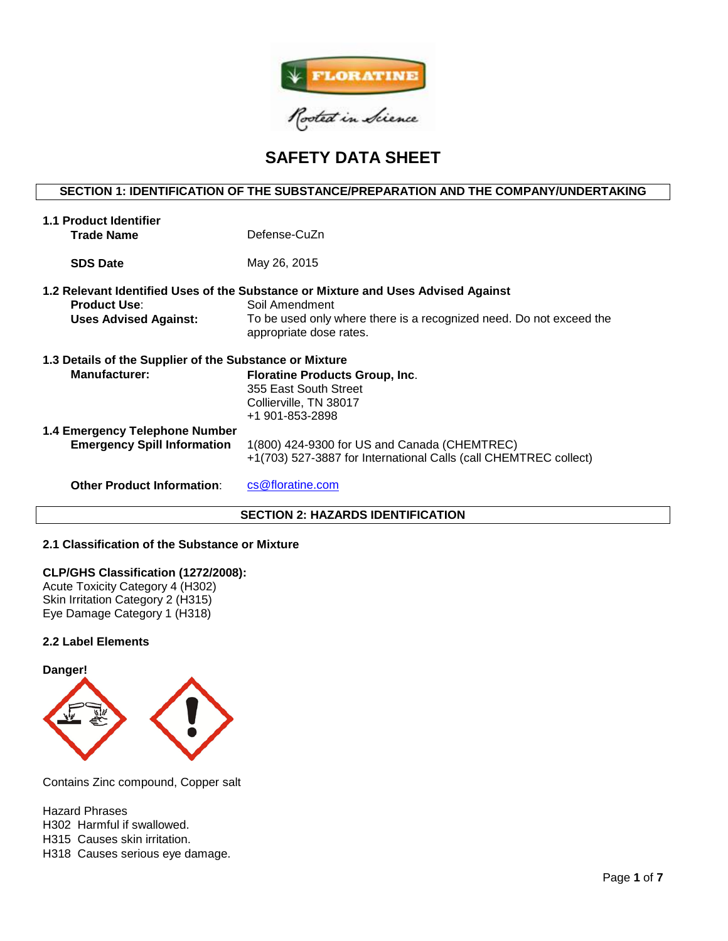

# **SAFETY DATA SHEET**

# **SECTION 1: IDENTIFICATION OF THE SUBSTANCE/PREPARATION AND THE COMPANY/UNDERTAKING**

| To be used only where there is a recognized need. Do not exceed the |  |  |  |  |  |  |  |
|---------------------------------------------------------------------|--|--|--|--|--|--|--|
| 1.3 Details of the Supplier of the Substance or Mixture             |  |  |  |  |  |  |  |
|                                                                     |  |  |  |  |  |  |  |
|                                                                     |  |  |  |  |  |  |  |
|                                                                     |  |  |  |  |  |  |  |
|                                                                     |  |  |  |  |  |  |  |
|                                                                     |  |  |  |  |  |  |  |

# **SECTION 2: HAZARDS IDENTIFICATION**

# **2.1 Classification of the Substance or Mixture**

#### **CLP/GHS Classification (1272/2008):**

Acute Toxicity Category 4 (H302) Skin Irritation Category 2 (H315) Eye Damage Category 1 (H318)

## **2.2 Label Elements**



Contains Zinc compound, Copper salt

Hazard Phrases

H302 Harmful if swallowed.

H315 Causes skin irritation.

H318 Causes serious eye damage.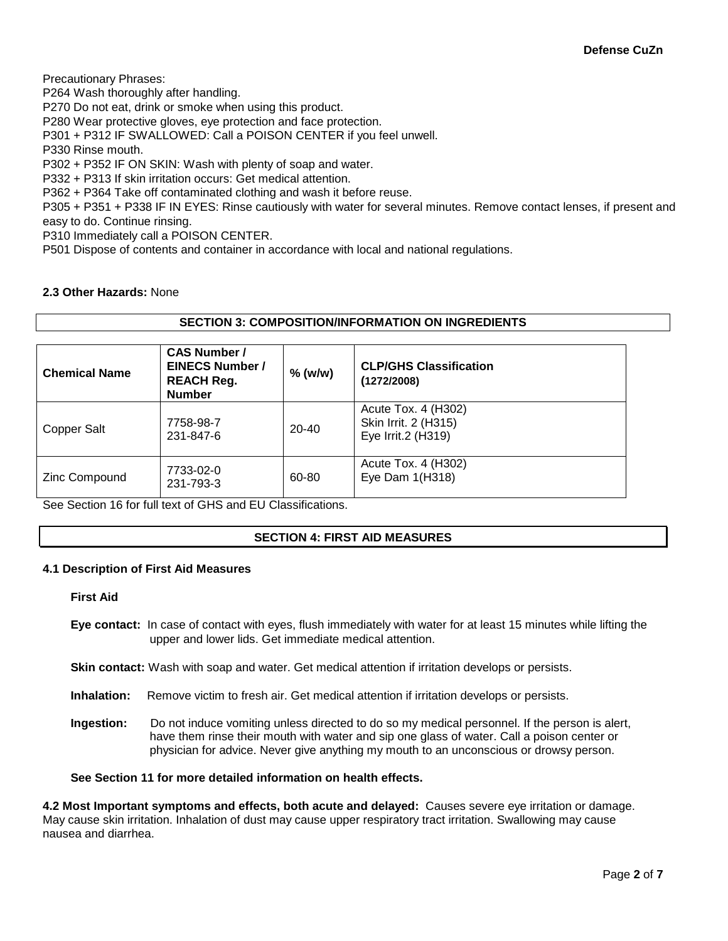Precautionary Phrases:

P264 Wash thoroughly after handling.

P270 Do not eat, drink or smoke when using this product.

P280 Wear protective gloves, eye protection and face protection.

P301 + P312 IF SWALLOWED: Call a POISON CENTER if you feel unwell.

P330 Rinse mouth.

P302 + P352 IF ON SKIN: Wash with plenty of soap and water.

P332 + P313 If skin irritation occurs: Get medical attention.

P362 + P364 Take off contaminated clothing and wash it before reuse.

P305 + P351 + P338 IF IN EYES: Rinse cautiously with water for several minutes. Remove contact lenses, if present and easy to do. Continue rinsing.

P310 Immediately call a POISON CENTER.

P501 Dispose of contents and container in accordance with local and national regulations.

# **2.3 Other Hazards:** None

# **SECTION 3: COMPOSITION/INFORMATION ON INGREDIENTS**

| <b>Chemical Name</b> | <b>CAS Number /</b><br><b>EINECS Number /</b><br><b>REACH Reg.</b><br><b>Number</b> | $%$ (w/w) | <b>CLP/GHS Classification</b><br>(1272/2008)                      |
|----------------------|-------------------------------------------------------------------------------------|-----------|-------------------------------------------------------------------|
| Copper Salt          | 7758-98-7<br>231-847-6                                                              | 20-40     | Acute Tox. 4 (H302)<br>Skin Irrit. 2 (H315)<br>Eye Irrit.2 (H319) |
| Zinc Compound        | 7733-02-0<br>231-793-3                                                              | 60-80     | Acute Tox. 4 (H302)<br>Eye Dam 1(H318)                            |

See Section 16 for full text of GHS and EU Classifications.

## **SECTION 4: FIRST AID MEASURES**

## **4.1 Description of First Aid Measures**

#### **First Aid**

**Eye contact:** In case of contact with eyes, flush immediately with water for at least 15 minutes while lifting the upper and lower lids. Get immediate medical attention.

**Skin contact:** Wash with soap and water. Get medical attention if irritation develops or persists.

- **Inhalation:** Remove victim to fresh air. Get medical attention if irritation develops or persists.
- **Ingestion:** Do not induce vomiting unless directed to do so my medical personnel. If the person is alert, have them rinse their mouth with water and sip one glass of water. Call a poison center or physician for advice. Never give anything my mouth to an unconscious or drowsy person.

## **See Section 11 for more detailed information on health effects.**

**4.2 Most Important symptoms and effects, both acute and delayed:** Causes severe eye irritation or damage. May cause skin irritation. Inhalation of dust may cause upper respiratory tract irritation. Swallowing may cause nausea and diarrhea.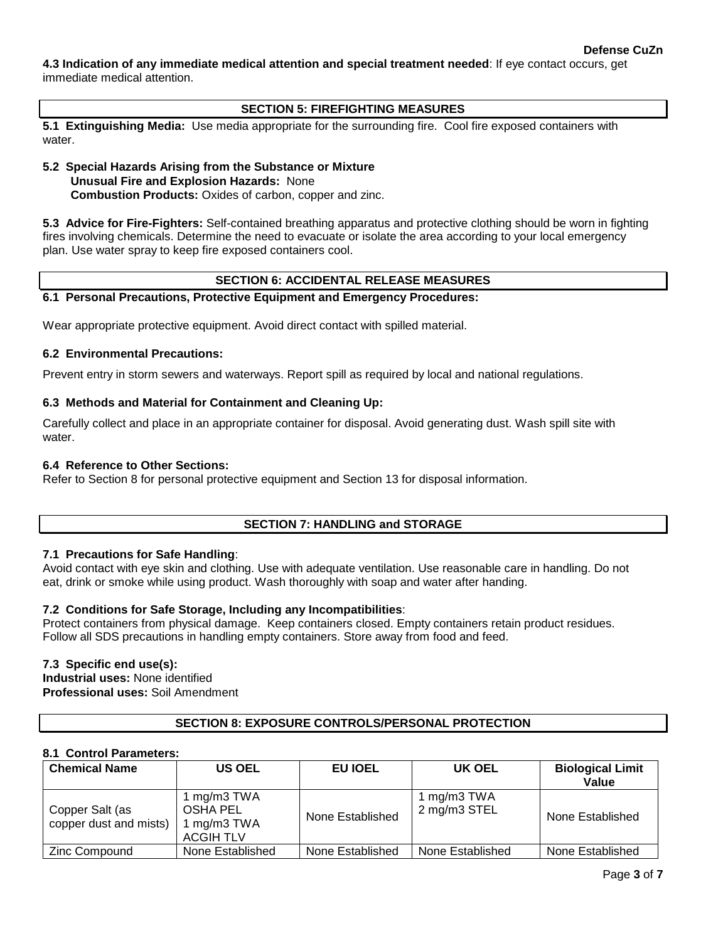**4.3 Indication of any immediate medical attention and special treatment needed**: If eye contact occurs, get immediate medical attention.

# **SECTION 5: FIREFIGHTING MEASURES**

**5.1 Extinguishing Media:** Use media appropriate for the surrounding fire. Cool fire exposed containers with water.

# **5.2 Special Hazards Arising from the Substance or Mixture Unusual Fire and Explosion Hazards:** None **Combustion Products:** Oxides of carbon, copper and zinc.

**5.3 Advice for Fire-Fighters:** Self-contained breathing apparatus and protective clothing should be worn in fighting fires involving chemicals. Determine the need to evacuate or isolate the area according to your local emergency plan. Use water spray to keep fire exposed containers cool.

# **SECTION 6: ACCIDENTAL RELEASE MEASURES**

## **6.1 Personal Precautions, Protective Equipment and Emergency Procedures:**

Wear appropriate protective equipment. Avoid direct contact with spilled material.

## **6.2 Environmental Precautions:**

Prevent entry in storm sewers and waterways. Report spill as required by local and national regulations.

# **6.3 Methods and Material for Containment and Cleaning Up:**

Carefully collect and place in an appropriate container for disposal. Avoid generating dust. Wash spill site with water.

## **6.4 Reference to Other Sections:**

Refer to Section 8 for personal protective equipment and Section 13 for disposal information.

# **SECTION 7: HANDLING and STORAGE**

## **7.1 Precautions for Safe Handling**:

Avoid contact with eye skin and clothing. Use with adequate ventilation. Use reasonable care in handling. Do not eat, drink or smoke while using product. Wash thoroughly with soap and water after handing.

## **7.2 Conditions for Safe Storage, Including any Incompatibilities**:

Protect containers from physical damage. Keep containers closed. Empty containers retain product residues. Follow all SDS precautions in handling empty containers. Store away from food and feed.

## **7.3 Specific end use(s):**

**Industrial uses:** None identified **Professional uses:** Soil Amendment

# **SECTION 8: EXPOSURE CONTROLS/PERSONAL PROTECTION**

## **8.1 Control Parameters:**

| <b>Chemical Name</b>                      | <b>US OEL</b>                                              | <b>EU IOEL</b>   | UK OEL                      | <b>Biological Limit</b><br>Value |
|-------------------------------------------|------------------------------------------------------------|------------------|-----------------------------|----------------------------------|
| Copper Salt (as<br>copper dust and mists) | 1 mg/m3 TWA<br>OSHA PEL<br>1 mg/m3 TWA<br><b>ACGIH TLV</b> | None Established | 1 mg/m3 TWA<br>2 mg/m3 STEL | None Established                 |
| Zinc Compound                             | None Established                                           | None Established | None Established            | None Established                 |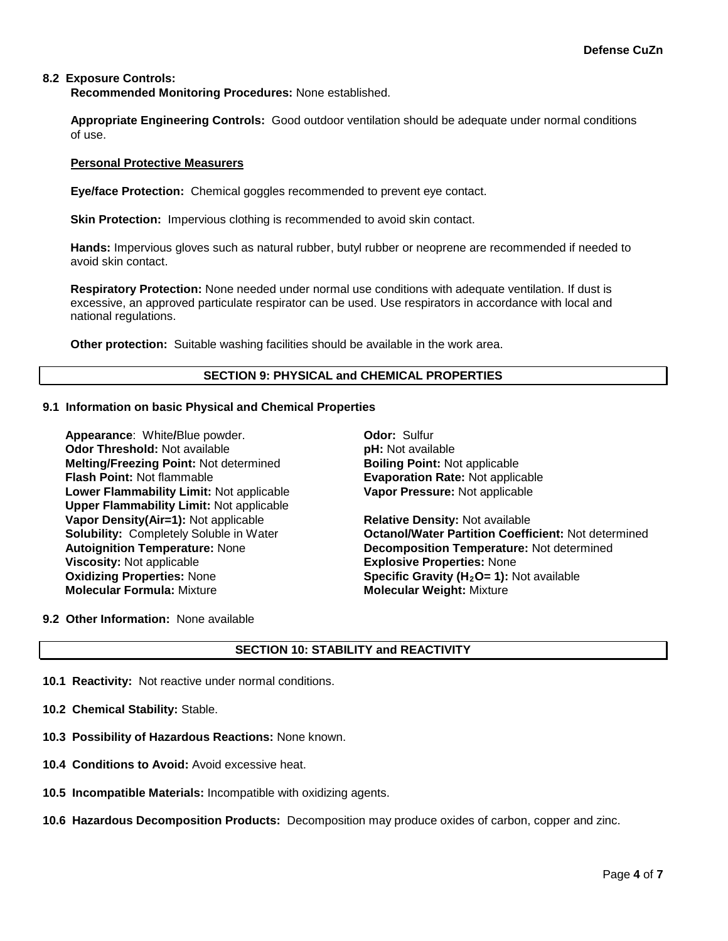# **8.2 Exposure Controls:**

**Recommended Monitoring Procedures:** None established.

**Appropriate Engineering Controls:** Good outdoor ventilation should be adequate under normal conditions of use.

#### **Personal Protective Measurers**

**Eye/face Protection:** Chemical goggles recommended to prevent eye contact.

**Skin Protection:** Impervious clothing is recommended to avoid skin contact.

**Hands:** Impervious gloves such as natural rubber, butyl rubber or neoprene are recommended if needed to avoid skin contact.

**Respiratory Protection:** None needed under normal use conditions with adequate ventilation. If dust is excessive, an approved particulate respirator can be used. Use respirators in accordance with local and national regulations.

**Other protection:** Suitable washing facilities should be available in the work area.

#### **SECTION 9: PHYSICAL and CHEMICAL PROPERTIES**

#### **9.1 Information on basic Physical and Chemical Properties**

**Appearance**: White**/**Blue powder. **Odor:** Sulfur **Odor Threshold:** Not available *pH: Not available* **pH: Not available Melting/Freezing Point:** Not determined **Boiling Point:** Not applicable **Flash Point:** Not flammable **Evaporation Rate:** Not applicable **Lower Flammability Limit:** Not applicable **Upper Flammability Limit:** Not applicable **Vapor Density(Air=1):** Not applicable **Relative Density:** Not available **Viscosity:** Not applicable **Explosive Properties:** None<br> **Oxidizing Properties:** None **Explosive Constants Specific Gravity (H<sub>2</sub>O= 1):** N **Oxidizing Properties:** None **Specific Gravity (H<sub>2</sub>O= 1):** Not available **Molecular Formula:** Mixture **Molecular Weight:** Mixture

**Vapor Pressure:** Not applicable

**Solubility:** Completely Soluble in Water **Octanol/Water Partition Coefficient:** Not determined **Autoignition Temperature:** None **Decomposition Temperature:** Not determined **Molecular Weight: Mixture** 

#### **9.2 Other Information:** None available

## **SECTION 10: STABILITY and REACTIVITY**

- **10.1 Reactivity:** Not reactive under normal conditions.
- **10.2 Chemical Stability:** Stable.
- **10.3 Possibility of Hazardous Reactions:** None known.
- **10.4 Conditions to Avoid:** Avoid excessive heat.
- **10.5 Incompatible Materials:** Incompatible with oxidizing agents.
- **10.6 Hazardous Decomposition Products:** Decomposition may produce oxides of carbon, copper and zinc.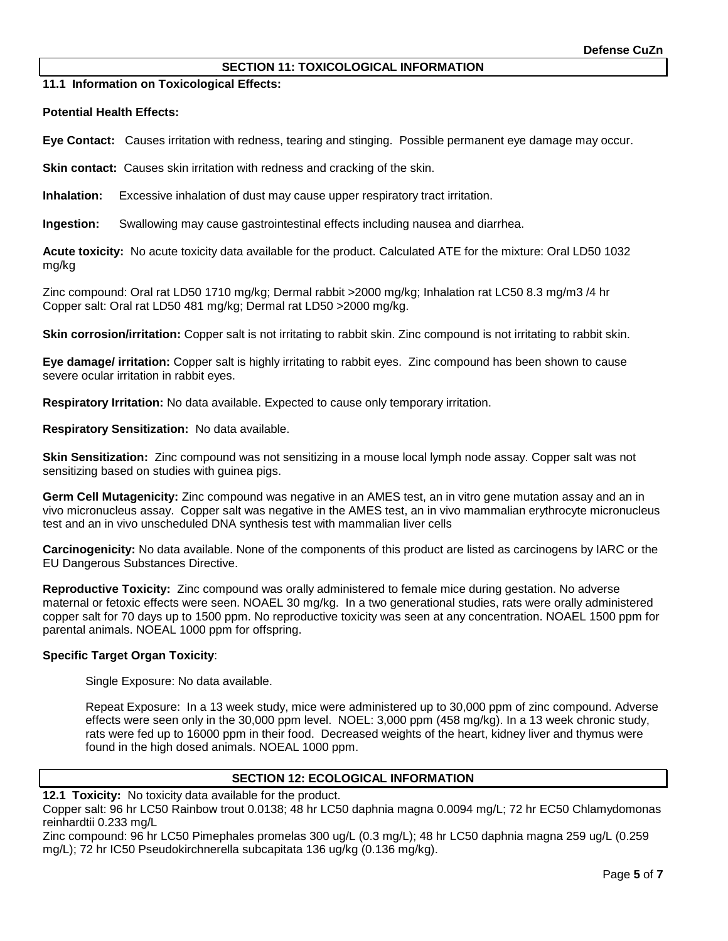## **SECTION 11: TOXICOLOGICAL INFORMATION**

**11.1 Information on Toxicological Effects:** 

**Potential Health Effects:**

**Eye Contact:** Causes irritation with redness, tearing and stinging. Possible permanent eye damage may occur.

**Skin contact:** Causes skin irritation with redness and cracking of the skin.

**Inhalation:** Excessive inhalation of dust may cause upper respiratory tract irritation.

**Ingestion:** Swallowing may cause gastrointestinal effects including nausea and diarrhea.

**Acute toxicity:** No acute toxicity data available for the product. Calculated ATE for the mixture: Oral LD50 1032 mg/kg

Zinc compound: Oral rat LD50 1710 mg/kg; Dermal rabbit >2000 mg/kg; Inhalation rat LC50 8.3 mg/m3 /4 hr Copper salt: Oral rat LD50 481 mg/kg; Dermal rat LD50 >2000 mg/kg.

**Skin corrosion/irritation:** Copper salt is not irritating to rabbit skin. Zinc compound is not irritating to rabbit skin.

**Eye damage/ irritation:** Copper salt is highly irritating to rabbit eyes. Zinc compound has been shown to cause severe ocular irritation in rabbit eyes.

**Respiratory Irritation:** No data available. Expected to cause only temporary irritation.

**Respiratory Sensitization:** No data available.

**Skin Sensitization:** Zinc compound was not sensitizing in a mouse local lymph node assay. Copper salt was not sensitizing based on studies with guinea pigs.

**Germ Cell Mutagenicity:** Zinc compound was negative in an AMES test, an in vitro gene mutation assay and an in vivo micronucleus assay. Copper salt was negative in the AMES test, an in vivo mammalian erythrocyte micronucleus test and an in vivo unscheduled DNA synthesis test with mammalian liver cells

**Carcinogenicity:** No data available. None of the components of this product are listed as carcinogens by IARC or the EU Dangerous Substances Directive.

**Reproductive Toxicity:** Zinc compound was orally administered to female mice during gestation. No adverse maternal or fetoxic effects were seen. NOAEL 30 mg/kg. In a two generational studies, rats were orally administered copper salt for 70 days up to 1500 ppm. No reproductive toxicity was seen at any concentration. NOAEL 1500 ppm for parental animals. NOEAL 1000 ppm for offspring.

## **Specific Target Organ Toxicity**:

Single Exposure: No data available.

Repeat Exposure: In a 13 week study, mice were administered up to 30,000 ppm of zinc compound. Adverse effects were seen only in the 30,000 ppm level. NOEL: 3,000 ppm (458 mg/kg). In a 13 week chronic study, rats were fed up to 16000 ppm in their food. Decreased weights of the heart, kidney liver and thymus were found in the high dosed animals. NOEAL 1000 ppm.

## **SECTION 12: ECOLOGICAL INFORMATION**

**12.1 Toxicity:** No toxicity data available for the product.

Copper salt: 96 hr LC50 Rainbow trout 0.0138; 48 hr LC50 daphnia magna 0.0094 mg/L; 72 hr EC50 Chlamydomonas reinhardtii 0.233 mg/L

Zinc compound: 96 hr LC50 Pimephales promelas 300 ug/L (0.3 mg/L); 48 hr LC50 daphnia magna 259 ug/L (0.259 mg/L); 72 hr IC50 Pseudokirchnerella subcapitata 136 ug/kg (0.136 mg/kg).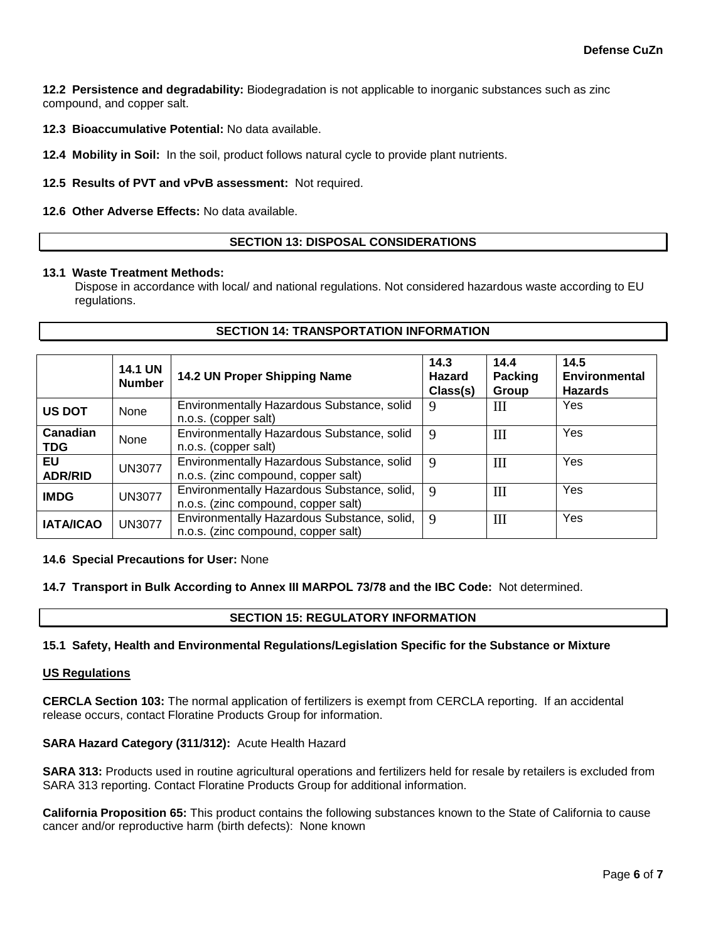**12.2 Persistence and degradability:** Biodegradation is not applicable to inorganic substances such as zinc compound, and copper salt.

**12.3 Bioaccumulative Potential:** No data available.

**12.4 Mobility in Soil:** In the soil, product follows natural cycle to provide plant nutrients.

**12.5 Results of PVT and vPvB assessment:** Not required.

**12.6 Other Adverse Effects:** No data available.

## **SECTION 13: DISPOSAL CONSIDERATIONS**

#### **13.1 Waste Treatment Methods:**

Dispose in accordance with local/ and national regulations. Not considered hazardous waste according to EU regulations.

**SECTION 14: TRANSPORTATION INFORMATION**

|                        | <b>14.1 UN</b><br><b>Number</b> | 14.2 UN Proper Shipping Name                                                       | 14.3<br>Hazard<br>Class(s) | 14.4<br>Packing<br>Group         | 14.5<br>Environmental<br><b>Hazards</b> |
|------------------------|---------------------------------|------------------------------------------------------------------------------------|----------------------------|----------------------------------|-----------------------------------------|
| <b>US DOT</b>          | None                            | Environmentally Hazardous Substance, solid<br>n.o.s. (copper salt)                 | 9                          | $\mathop{\mathrm{III}}\nolimits$ | <b>Yes</b>                              |
| Canadian<br><b>TDG</b> | None                            | Environmentally Hazardous Substance, solid<br>n.o.s. (copper salt)                 | 9                          | $\mathbf{I}$                     | Yes                                     |
| EU<br><b>ADR/RID</b>   | <b>UN3077</b>                   | Environmentally Hazardous Substance, solid<br>n.o.s. (zinc compound, copper salt)  | 9                          | $\mathop{\mathrm{III}}\nolimits$ | Yes                                     |
| <b>IMDG</b>            | <b>UN3077</b>                   | Environmentally Hazardous Substance, solid,<br>n.o.s. (zinc compound, copper salt) | $\mathbf{Q}$               | III                              | Yes                                     |
| <b>IATA/ICAO</b>       | <b>UN3077</b>                   | Environmentally Hazardous Substance, solid,<br>n.o.s. (zinc compound, copper salt) | $\mathbf Q$                | $\mathbf{I}$                     | Yes                                     |

## **14.6 Special Precautions for User:** None

#### **14.7 Transport in Bulk According to Annex III MARPOL 73/78 and the IBC Code:** Not determined.

#### **SECTION 15: REGULATORY INFORMATION**

#### **15.1 Safety, Health and Environmental Regulations/Legislation Specific for the Substance or Mixture**

#### **US Regulations**

**CERCLA Section 103:** The normal application of fertilizers is exempt from CERCLA reporting. If an accidental release occurs, contact Floratine Products Group for information.

#### **SARA Hazard Category (311/312):** Acute Health Hazard

**SARA 313:** Products used in routine agricultural operations and fertilizers held for resale by retailers is excluded from SARA 313 reporting. Contact Floratine Products Group for additional information.

**California Proposition 65:** This product contains the following substances known to the State of California to cause cancer and/or reproductive harm (birth defects): None known